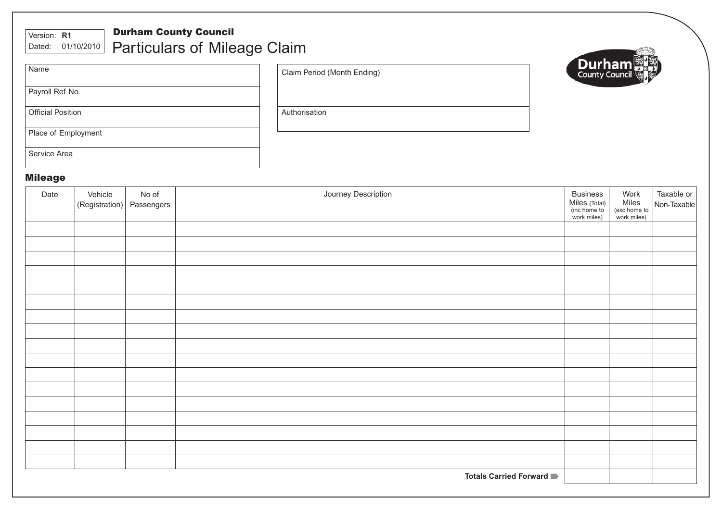| <b>Durham County Council</b><br>Version: $\vert$ R1<br> 01/10/2010 <br>Dated: | <b>Particulars of Mileage Claim</b> |               |  |
|-------------------------------------------------------------------------------|-------------------------------------|---------------|--|
| Name                                                                          | Claim Period (Month Ending)         | <b>Durham</b> |  |
| Payroll Ref No.                                                               |                                     |               |  |
| <b>Official Position</b>                                                      | Authorisation                       |               |  |
| Place of Employment                                                           |                                     |               |  |
| Service Area                                                                  |                                     |               |  |

## Mileage

| Date | Vehicle<br>(Registration) | No of<br>Passengers | Journey Description             | <b>Business</b><br>Miles (Total)<br>(inc home to<br>work miles) | Work<br>Miles<br>(exc home to<br>work miles) | Taxable or<br>Non-Taxable |
|------|---------------------------|---------------------|---------------------------------|-----------------------------------------------------------------|----------------------------------------------|---------------------------|
|      |                           |                     |                                 |                                                                 |                                              |                           |
|      |                           |                     |                                 |                                                                 |                                              |                           |
|      |                           |                     |                                 |                                                                 |                                              |                           |
|      |                           |                     |                                 |                                                                 |                                              |                           |
|      |                           |                     |                                 |                                                                 |                                              |                           |
|      |                           |                     |                                 |                                                                 |                                              |                           |
|      |                           |                     |                                 |                                                                 |                                              |                           |
|      |                           |                     |                                 |                                                                 |                                              |                           |
|      |                           |                     |                                 |                                                                 |                                              |                           |
|      |                           |                     |                                 |                                                                 |                                              |                           |
|      |                           |                     |                                 |                                                                 |                                              |                           |
|      |                           |                     |                                 |                                                                 |                                              |                           |
|      |                           |                     |                                 |                                                                 |                                              |                           |
|      |                           |                     |                                 |                                                                 |                                              |                           |
|      |                           |                     |                                 |                                                                 |                                              |                           |
|      |                           |                     |                                 |                                                                 |                                              |                           |
|      |                           |                     |                                 |                                                                 |                                              |                           |
|      |                           |                     | <b>Totals Carried Forward</b> ■ |                                                                 |                                              |                           |